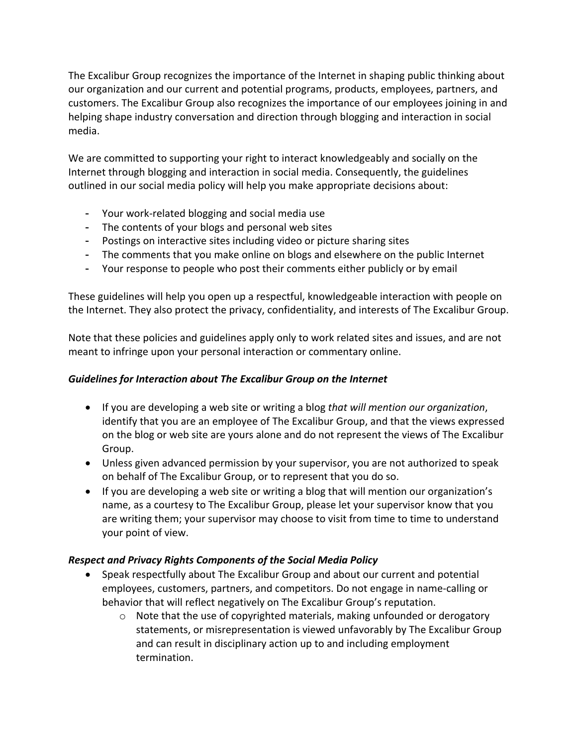The Excalibur Group recognizes the importance of the Internet in shaping public thinking about our organization and our current and potential programs, products, employees, partners, and customers. The Excalibur Group also recognizes the importance of our employees joining in and helping shape industry conversation and direction through blogging and interaction in social media.

We are committed to supporting your right to interact knowledgeably and socially on the Internet through blogging and interaction in social media. Consequently, the guidelines outlined in our social media policy will help you make appropriate decisions about:

- Your work-related blogging and social media use
- The contents of your blogs and personal web sites
- Postings on interactive sites including video or picture sharing sites
- The comments that you make online on blogs and elsewhere on the public Internet
- Your response to people who post their comments either publicly or by email

These guidelines will help you open up a respectful, knowledgeable interaction with people on the Internet. They also protect the privacy, confidentiality, and interests of The Excalibur Group.

Note that these policies and guidelines apply only to work related sites and issues, and are not meant to infringe upon your personal interaction or commentary online.

# *Guidelines for Interaction about The Excalibur Group on the Internet*

- If you are developing a web site or writing a blog *that will mention our organization*, identify that you are an employee of The Excalibur Group, and that the views expressed on the blog or web site are yours alone and do not represent the views of The Excalibur Group.
- Unless given advanced permission by your supervisor, you are not authorized to speak on behalf of The Excalibur Group, or to represent that you do so.
- If you are developing a web site or writing a blog that will mention our organization's name, as a courtesy to The Excalibur Group, please let your supervisor know that you are writing them; your supervisor may choose to visit from time to time to understand your point of view.

# *Respect and Privacy Rights Components of the Social Media Policy*

- Speak respectfully about The Excalibur Group and about our current and potential employees, customers, partners, and competitors. Do not engage in name-calling or behavior that will reflect negatively on The Excalibur Group's reputation.
	- o Note that the use of copyrighted materials, making unfounded or derogatory statements, or misrepresentation is viewed unfavorably by The Excalibur Group and can result in disciplinary action up to and including employment termination.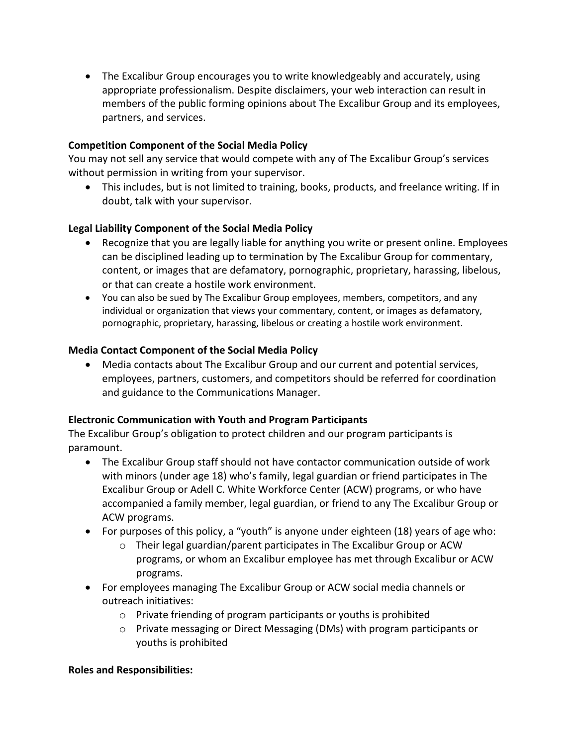• The Excalibur Group encourages you to write knowledgeably and accurately, using appropriate professionalism. Despite disclaimers, your web interaction can result in members of the public forming opinions about The Excalibur Group and its employees, partners, and services.

### **Competition Component of the Social Media Policy**

You may not sell any service that would compete with any of The Excalibur Group's services without permission in writing from your supervisor.

• This includes, but is not limited to training, books, products, and freelance writing. If in doubt, talk with your supervisor.

### **Legal Liability Component of the Social Media Policy**

- Recognize that you are legally liable for anything you write or present online. Employees can be disciplined leading up to termination by The Excalibur Group for commentary, content, or images that are defamatory, pornographic, proprietary, harassing, libelous, or that can create a hostile work environment.
- You can also be sued by The Excalibur Group employees, members, competitors, and any individual or organization that views your commentary, content, or images as defamatory, pornographic, proprietary, harassing, libelous or creating a hostile work environment.

#### **Media Contact Component of the Social Media Policy**

• Media contacts about The Excalibur Group and our current and potential services, employees, partners, customers, and competitors should be referred for coordination and guidance to the Communications Manager.

#### **Electronic Communication with Youth and Program Participants**

The Excalibur Group's obligation to protect children and our program participants is paramount.

- The Excalibur Group staff should not have contactor communication outside of work with minors (under age 18) who's family, legal guardian or friend participates in The Excalibur Group or Adell C. White Workforce Center (ACW) programs, or who have accompanied a family member, legal guardian, or friend to any The Excalibur Group or ACW programs.
- For purposes of this policy, a "youth" is anyone under eighteen (18) years of age who:
	- o Their legal guardian/parent participates in The Excalibur Group or ACW programs, or whom an Excalibur employee has met through Excalibur or ACW programs.
- For employees managing The Excalibur Group or ACW social media channels or outreach initiatives:
	- o Private friending of program participants or youths is prohibited
	- o Private messaging or Direct Messaging (DMs) with program participants or youths is prohibited

#### **Roles and Responsibilities:**